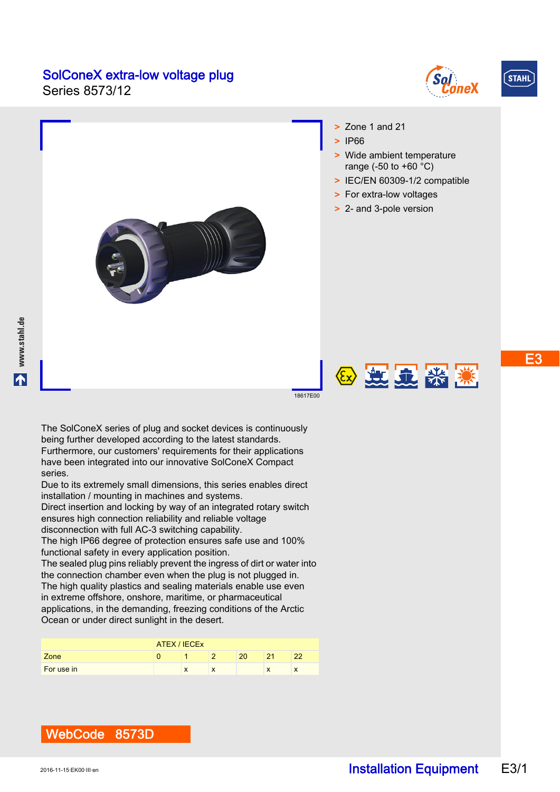### SolConeX extra-low voltage plug

Series 8573/12







2 起显然深

18617E00

The SolConeX series of plug and socket devices is continuously being further developed according to the latest standards. Furthermore, our customers' requirements for their applications have been integrated into our innovative SolConeX Compact series.

Due to its extremely small dimensions, this series enables direct installation / mounting in machines and systems.

Direct insertion and locking by way of an integrated rotary switch ensures high connection reliability and reliable voltage disconnection with full AC-3 switching capability.

The high IP66 degree of protection ensures safe use and 100% functional safety in every application position.

The sealed plug pins reliably prevent the ingress of dirt or water into the connection chamber even when the plug is not plugged in. The high quality plastics and sealing materials enable use even in extreme offshore, onshore, maritime, or pharmaceutical applications, in the demanding, freezing conditions of the Arctic Ocean or under direct sunlight in the desert.

|            | ATEX / IECEX |  |  |    |    |    |  |  |  |
|------------|--------------|--|--|----|----|----|--|--|--|
| Zone       |              |  |  | 20 | 24 | າາ |  |  |  |
| For use in |              |  |  |    | л  | л  |  |  |  |

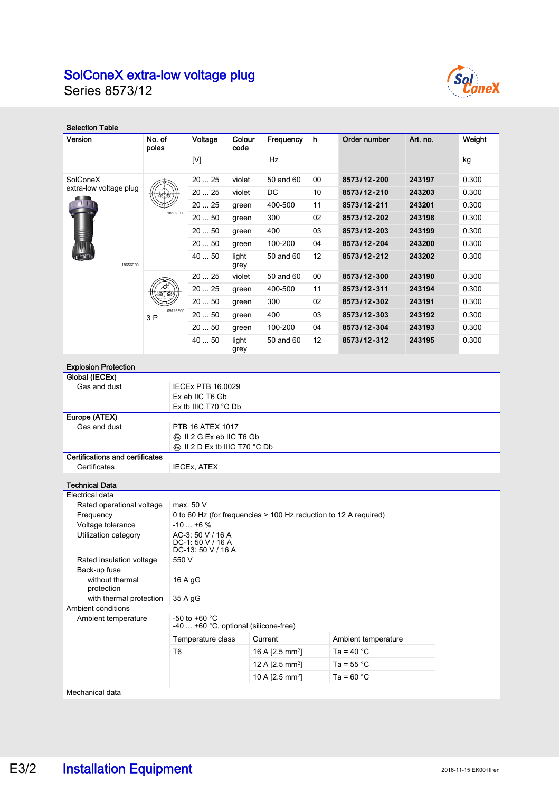# SolConeX extra-low voltage plug

Series 8573/12



| <b>Selection Table</b>                                                                  |                                                                                           |                                                             |                |                             |    |                      |          |        |  |
|-----------------------------------------------------------------------------------------|-------------------------------------------------------------------------------------------|-------------------------------------------------------------|----------------|-----------------------------|----|----------------------|----------|--------|--|
| Version                                                                                 | No. of<br>poles                                                                           | Voltage                                                     | Colour<br>code | Frequency                   | h  | Order number         | Art. no. | Weight |  |
|                                                                                         |                                                                                           | [V]                                                         |                | Hz                          |    |                      |          | kg     |  |
| SolConeX                                                                                |                                                                                           | 2025                                                        | violet         | 50 and 60                   | 00 | 8573/12-200          | 243197   | 0.300  |  |
| extra-low voltage plug<br>18656E00                                                      |                                                                                           | 2025                                                        | violet         | DC                          | 10 | 8573/12-210          | 243203   | 0.300  |  |
|                                                                                         |                                                                                           | 2025                                                        | green          | 400-500                     | 11 | 8573/12-211          | 243201   | 0.300  |  |
|                                                                                         | 18509E00                                                                                  | 20  50                                                      | green          | 300                         | 02 | 8573/12-202          | 243198   | 0.300  |  |
|                                                                                         |                                                                                           | 2050                                                        | green          | 400                         | 03 | 8573/12-203          | 243199   | 0.300  |  |
|                                                                                         |                                                                                           | 20  50                                                      | green          | 100-200                     | 04 | 8573/12-204          | 243200   | 0.300  |  |
|                                                                                         |                                                                                           | 40  50                                                      | light<br>grey  | 50 and 60                   | 12 | 8573/12-212          | 243202   | 0.300  |  |
|                                                                                         |                                                                                           | 20  25                                                      | violet         | 50 and 60                   | 00 | 8573/12-300          | 243190   | 0.300  |  |
|                                                                                         |                                                                                           | 2025                                                        | green          | 400-500                     | 11 | 8573/12-311          | 243194   | 0.300  |  |
|                                                                                         |                                                                                           | 20  50                                                      | green          | 300                         | 02 | 8573/12-302          | 243191   | 0.300  |  |
|                                                                                         | 09193E00<br>3 P                                                                           | 2050                                                        | green          | 400                         | 03 | 8573/12-303          | 243192   | 0.300  |  |
|                                                                                         |                                                                                           | 20  50                                                      | green          | 100-200                     | 04 | 8573/12-304          | 243193   | 0.300  |  |
|                                                                                         |                                                                                           | 40  50                                                      | light<br>grey  | 50 and 60                   | 12 | 8573/12-312          | 243195   | 0.300  |  |
| <b>Explosion Protection</b>                                                             |                                                                                           |                                                             |                |                             |    |                      |          |        |  |
| <b>Global (IECEx)</b>                                                                   |                                                                                           |                                                             |                |                             |    |                      |          |        |  |
| Gas and dust                                                                            |                                                                                           | <b>IECEx PTB 16.0029</b>                                    |                |                             |    |                      |          |        |  |
|                                                                                         |                                                                                           | Ex eb IIC T6 Gb<br>Ex tb IIIC T70 °C Db                     |                |                             |    |                      |          |        |  |
| Europe (ATEX)                                                                           |                                                                                           |                                                             |                |                             |    |                      |          |        |  |
| Gas and dust                                                                            |                                                                                           | PTB 16 ATEX 1017                                            |                |                             |    |                      |          |        |  |
|                                                                                         |                                                                                           | Key II 2 G Ex eb IIC T6 Gb<br>ⓒ II 2 D Ex tb IIIC T70 °C Db |                |                             |    |                      |          |        |  |
| <b>Certifications and certificates</b>                                                  |                                                                                           |                                                             |                |                             |    |                      |          |        |  |
| Certificates                                                                            |                                                                                           | <b>IECEX, ATEX</b>                                          |                |                             |    |                      |          |        |  |
| <b>Technical Data</b>                                                                   |                                                                                           |                                                             |                |                             |    |                      |          |        |  |
| Electrical data                                                                         |                                                                                           |                                                             |                |                             |    |                      |          |        |  |
| Rated operational voltage                                                               | max. 50 V                                                                                 |                                                             |                |                             |    |                      |          |        |  |
| Voltage tolerance                                                                       | 0 to 60 Hz (for frequencies > 100 Hz reduction to 12 A required)<br>Frequency<br>$-10+6%$ |                                                             |                |                             |    |                      |          |        |  |
| AC-3: 50 V / 16 A<br>Utilization category<br>$DC-1: 50 V / 16 A$                        |                                                                                           |                                                             |                |                             |    |                      |          |        |  |
| DC-13: 50 V / 16 A<br>550 V<br>Rated insulation voltage                                 |                                                                                           |                                                             |                |                             |    |                      |          |        |  |
| Back-up fuse<br>without thermal<br>16 A gG                                              |                                                                                           |                                                             |                |                             |    |                      |          |        |  |
| protection                                                                              |                                                                                           |                                                             |                |                             |    |                      |          |        |  |
| with thermal protection<br>Ambient conditions                                           |                                                                                           | 35 A gG                                                     |                |                             |    |                      |          |        |  |
| -50 to +60 $^{\circ}$ C<br>Ambient temperature<br>-40  +60 °C, optional (silicone-free) |                                                                                           |                                                             |                |                             |    |                      |          |        |  |
|                                                                                         |                                                                                           | Temperature class                                           |                | Current                     |    | Ambient temperature  |          |        |  |
|                                                                                         | T <sub>6</sub>                                                                            |                                                             |                | 16 A [2.5 mm <sup>2</sup> ] |    | Ta = 40 $^{\circ}$ C |          |        |  |
|                                                                                         |                                                                                           |                                                             |                | 12 A [2.5 mm <sup>2</sup> ] |    | Ta = $55^{\circ}$ C  |          |        |  |
|                                                                                         |                                                                                           |                                                             |                | 10 A [2.5 mm <sup>2</sup> ] |    | Ta = $60 °C$         |          |        |  |
| Mechanical data                                                                         |                                                                                           |                                                             |                |                             |    |                      |          |        |  |